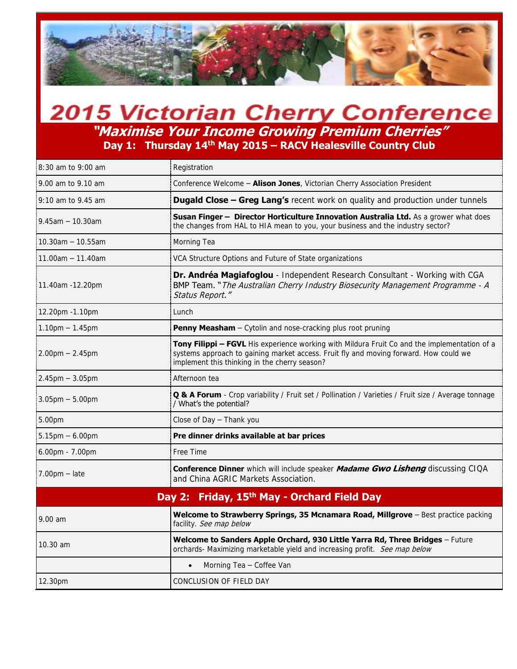

## **2015 Victorian Cherry Conference "Maximise Your Income Growing Premium Cherries" Day 1: Thursday 14th May 2015 – RACV Healesville Country Club**

| 8:30 am to 9:00 am                | Registration                                                                                                                                                                                                                           |
|-----------------------------------|----------------------------------------------------------------------------------------------------------------------------------------------------------------------------------------------------------------------------------------|
| 9.00 am to 9.10 am                | Conference Welcome - Alison Jones, Victorian Cherry Association President                                                                                                                                                              |
| 9:10 am to 9.45 am                | <b>Dugald Close - Greg Lang's</b> recent work on quality and production under tunnels                                                                                                                                                  |
| $9.45$ am $-10.30$ am             | Susan Finger - Director Horticulture Innovation Australia Ltd. As a grower what does<br>the changes from HAL to HIA mean to you, your business and the industry sector?                                                                |
| $10.30$ am $- 10.55$ am           | Morning Tea                                                                                                                                                                                                                            |
| $11.00$ am $- 11.40$ am           | VCA Structure Options and Future of State organizations                                                                                                                                                                                |
| 11.40am -12.20pm                  | Dr. Andréa Magiafoglou - Independent Research Consultant - Working with CGA<br><b>BMP Team.</b> "The Australian Cherry Industry Biosecurity Management Programme - A<br>Status Report."                                                |
| 12.20pm -1.10pm                   | Lunch                                                                                                                                                                                                                                  |
| $1.10pm - 1.45pm$                 | Penny Measham - Cytolin and nose-cracking plus root pruning                                                                                                                                                                            |
| $2.00$ pm $- 2.45$ pm             | Tony Filippi - FGVL His experience working with Mildura Fruit Co and the implementation of a<br>systems approach to gaining market access. Fruit fly and moving forward. How could we<br>implement this thinking in the cherry season? |
| $2.45$ pm $-3.05$ pm              | Afternoon tea                                                                                                                                                                                                                          |
| $3.05$ pm $- 5.00$ pm             | <b>Q &amp; A Forum</b> - Crop variability / Fruit set / Pollination / Varieties / Fruit size / Average tonnage<br>/ What's the potential?                                                                                              |
| 5.00pm                            | Close of Day $-$ Thank you                                                                                                                                                                                                             |
| $5.15 \text{pm} - 6.00 \text{pm}$ | Pre dinner drinks available at bar prices                                                                                                                                                                                              |
| 6.00pm - 7.00pm                   | Free Time                                                                                                                                                                                                                              |
| $7.00pm - late$                   | <b>Conference Dinner</b> which will include speaker <b>Madame Gwo Lisheng</b> discussing CIQA<br>and China AGRIC Markets Association.                                                                                                  |
|                                   | Day 2: Friday, 15 <sup>th</sup> May - Orchard Field Day                                                                                                                                                                                |
| 9.00 am                           | Welcome to Strawberry Springs, 35 Mcnamara Road, Millgrove - Best practice packing<br>facility. See map below                                                                                                                          |
| 10.30 am                          | Welcome to Sanders Apple Orchard, 930 Little Yarra Rd, Three Bridges - Future<br>orchards- Maximizing marketable yield and increasing profit. See map below                                                                            |
|                                   | Morning Tea - Coffee Van                                                                                                                                                                                                               |
| 12.30pm                           | CONCLUSION OF FIELD DAY                                                                                                                                                                                                                |